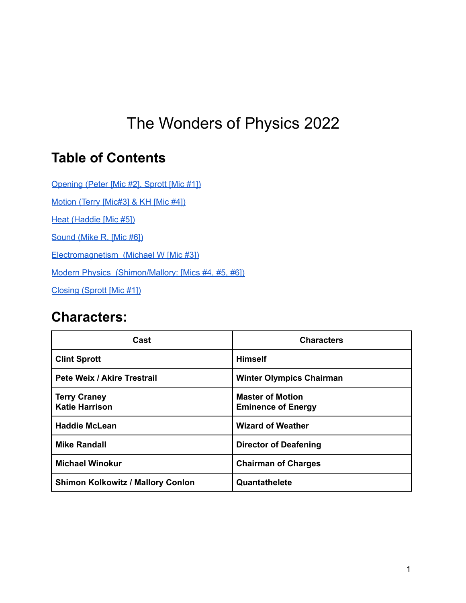# <span id="page-0-0"></span>The Wonders of Physics 2022

## **Table of Contents**

[Opening](#page-4-0) (Peter [Mic #2], Sprott [Mic #1])

Motion (Terry [\[Mic#3\]](#page-5-0) & KH [Mic #4])

Heat [\(Haddie](#page-12-0) [Mic #5])

[Sound](#page-16-0) (Mike R. [Mic #6])

Electromagnetism (Michael W [Mic #3])

Modern Physics (Shimon/Mallory: [Mics #4, #5, #6])

Closing (Sprott [Mic #1])

## **Characters:**

| Cast                                         | <b>Characters</b>                                    |
|----------------------------------------------|------------------------------------------------------|
| <b>Clint Sprott</b>                          | <b>Himself</b>                                       |
| Pete Weix / Akire Trestrail                  | <b>Winter Olympics Chairman</b>                      |
| <b>Terry Craney</b><br><b>Katie Harrison</b> | <b>Master of Motion</b><br><b>Eminence of Energy</b> |
| <b>Haddie McLean</b>                         | <b>Wizard of Weather</b>                             |
| <b>Mike Randall</b>                          | <b>Director of Deafening</b>                         |
| <b>Michael Winokur</b>                       | <b>Chairman of Charges</b>                           |
| <b>Shimon Kolkowitz / Mallory Conlon</b>     | Quantathelete                                        |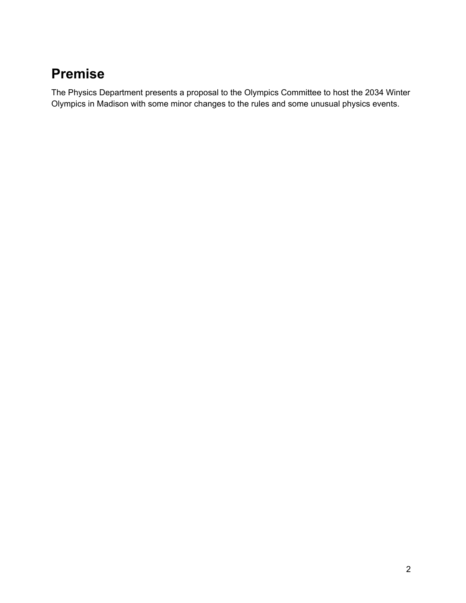## **Premise**

The Physics Department presents a proposal to the Olympics Committee to host the 2034 Winter Olympics in Madison with some minor changes to the rules and some unusual physics events.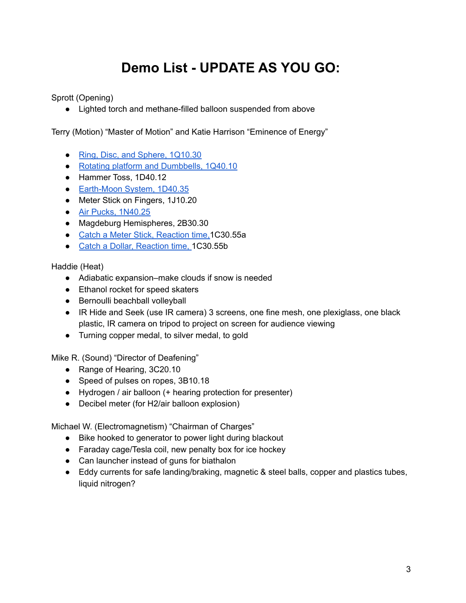# **Demo List - UPDATE AS YOU GO:**

Sprott (Opening)

● Lighted torch and methane-filled balloon suspended from above

Terry (Motion) "Master of Motion" and Katie Harrison "Eminence of Energy"

- Ring, Disc, and Sphere, [1Q10.30](https://wiki.physics.wisc.edu/facultywiki/Racing_Discs)
- Rotating platform and [Dumbbells,](https://wiki.physics.wisc.edu/facultywiki/Rotating_Platform) 1Q40.10
- Hammer Toss, 1D40.12
- [Earth-Moon](https://wiki.physics.wisc.edu/facultywiki/Earth-Moon) System, 1D40.35
- Meter Stick on Fingers, 1J10.20
- Air Pucks, [1N40.25](https://wiki.physics.wisc.edu/facultywiki/AirPucks)
- Magdeburg Hemispheres, 2B30.30
- Catch a Meter Stick, [Reaction](https://wiki.physics.wisc.edu/facultywiki/Reaction_Time) time, 1C30.55a
- Catch a Dollar, [Reaction](https://wiki.physics.wisc.edu/facultywiki/Reaction_Time) time, 1C30.55b

Haddie (Heat)

- Adiabatic expansion–make clouds if snow is needed
- Ethanol rocket for speed skaters
- Bernoulli beachball volleyball
- IR Hide and Seek (use IR camera) 3 screens, one fine mesh, one plexiglass, one black plastic, IR camera on tripod to project on screen for audience viewing
- Turning copper medal, to silver medal, to gold

Mike R. (Sound) "Director of Deafening"

- Range of Hearing, 3C20.10
- Speed of pulses on ropes, 3B10.18
- Hydrogen / air balloon (+ hearing protection for presenter)
- Decibel meter (for H2/air balloon explosion)

Michael W. (Electromagnetism) "Chairman of Charges"

- Bike hooked to generator to power light during blackout
- Faraday cage/Tesla coil, new penalty box for ice hockey
- Can launcher instead of guns for biathalon
- Eddy currents for safe landing/braking, magnetic & steel balls, copper and plastics tubes, liquid nitrogen?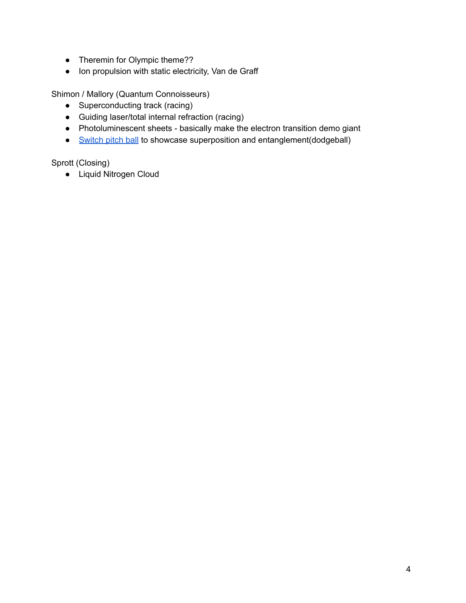- Theremin for Olympic theme??
- Ion propulsion with static electricity, Van de Graff

Shimon / Mallory (Quantum Connoisseurs)

- Superconducting track (racing)
- Guiding laser/total internal refraction (racing)
- Photoluminescent sheets basically make the electron transition demo giant
- [Switch](https://www.amazon.com/Hoberman-Switch-Ball-1-Colors-Styles/dp/B003KCG9IM/ref=asc_df_B003KCG9IM/?tag=hyprod-20&linkCode=df0&hvadid=312149920204&hvpos=&hvnetw=g&hvrand=12212725606945316029&hvpone=&hvptwo=&hvqmt=&hvdev=c&hvdvcmdl=&hvlocint=&hvlocphy=9018948&hvtargid=pla-569676524389&psc=1) pitch ball to showcase superposition and entanglement(dodgeball)

Sprott (Closing)

● Liquid Nitrogen Cloud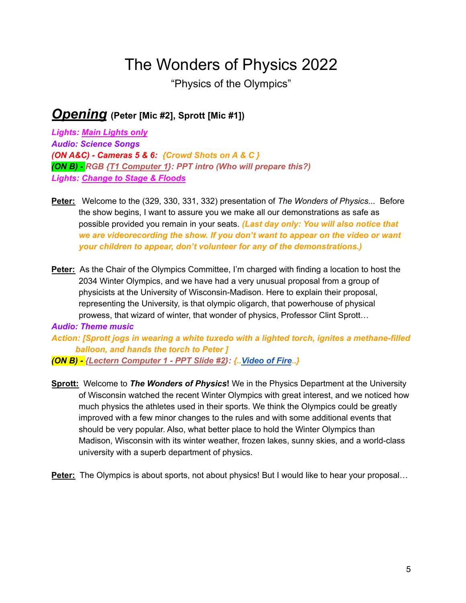# The Wonders of Physics 2022

"Physics of the Olympics"

### <span id="page-4-0"></span>*Opening* **(Peter [Mic #2], Sprott [Mic #1])**

*Lights: Main Lights only Audio: Science Songs (ON A&C) - Cameras 5 & 6: {Crowd Shots on A & C } (ON B) - RGB {T1 Computer 1}: [P](http://www.panoramas.dk/mars/greeley-haven.html)PT intro (Who will prepare this?) Lights: Change to Stage & Floods*

- **Peter:** Welcome to the (329, 330, 331, 332) presentation of *The Wonders of Physics*... Before the show begins, I want to assure you we make all our demonstrations as safe as possible provided you remain in your seats. *(Last day only: You will also notice that we are videorecording the show. If you don't want to appear on the video or want your children to appear, don't volunteer for any of the demonstrations.)*
- **Peter:** As the Chair of the Olympics Committee, I'm charged with finding a location to host the 2034 Winter Olympics, and we have had a very unusual proposal from a group of physicists at the University of Wisconsin-Madison. Here to explain their proposal, representing the University, is that olympic oligarch, that powerhouse of physical prowess, that wizard of winter, that wonder of physics, Professor Clint Sprott…

*Audio: Theme music Action: [Sprott jogs in wearing a white tuxedo with a lighted torch, ignites a methane-filled balloon, and hands the torch to Peter ]*

*(ON B) - {Lectern Computer 1 - PPT Slide #2}: {.[.Video](http://sprott.physics.wisc.edu/wop/Movies/24523_Abstract_flame_backgrounds_HD_BG.mp4) of Fire..}*

**Sprott:** Welcome to *The Wonders of Physics***!** We in the Physics Department at the University of Wisconsin watched the recent Winter Olympics with great interest, and we noticed how much physics the athletes used in their sports. We think the Olympics could be greatly improved with a few minor changes to the rules and with some additional events that should be very popular. Also, what better place to hold the Winter Olympics than Madison, Wisconsin with its winter weather, frozen lakes, sunny skies, and a world-class university with a superb department of physics.

**Peter:** The Olympics is about sports, not about physics! But I would like to hear your proposal…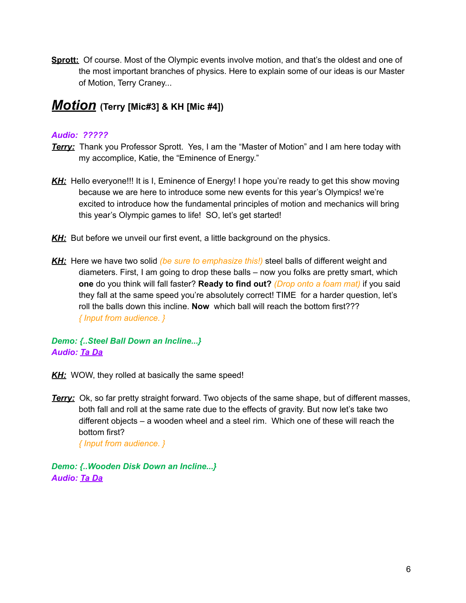**Sprott:** Of course. Most of the Olympic events involve motion, and that's the oldest and one of the most important branches of physics. Here to explain some of our ideas is our Master of Motion, Terry Craney...

### <span id="page-5-0"></span>*Motion* **(Terry [Mic#3] & KH [Mic #4])**

#### *Audio: ?????*

- **Terry:** Thank you Professor Sprott. Yes, I am the "Master of Motion" and I am here today with my accomplice, Katie, the "Eminence of Energy."
- *KH:* Hello everyone!!! It is I, Eminence of Energy! I hope you're ready to get this show moving because we are here to introduce some new events for this year's Olympics! we're excited to introduce how the fundamental principles of motion and mechanics will bring this year's Olympic games to life! SO, let's get started!
- **KH:** But before we unveil our first event, a little background on the physics.
- *KH:* Here we have two solid *(be sure to emphasize this!)* steel balls of different weight and diameters. First, I am going to drop these balls – now you folks are pretty smart, which **one** do you think will fall faster? **Ready to find out?** *(Drop onto a foam mat)* if you said they fall at the same speed you're absolutely correct! TIME for a harder question, let's roll the balls down this incline. **Now** which ball will reach the bottom first??? *{ Input from audience. }*

#### *Demo: {..Steel Ball Down an Incline...} Audio: Ta Da*

- *KH:* WOW, they rolled at basically the same speed!
- **Terry:** Ok, so far pretty straight forward. Two objects of the same shape, but of different masses, both fall and roll at the same rate due to the effects of gravity. But now let's take two different objects – a wooden wheel and a steel rim. Which one of these will reach the bottom first?

*{ Input from audience. }*

*Demo: {..Wooden Disk Down an Incline...} Audio: Ta Da*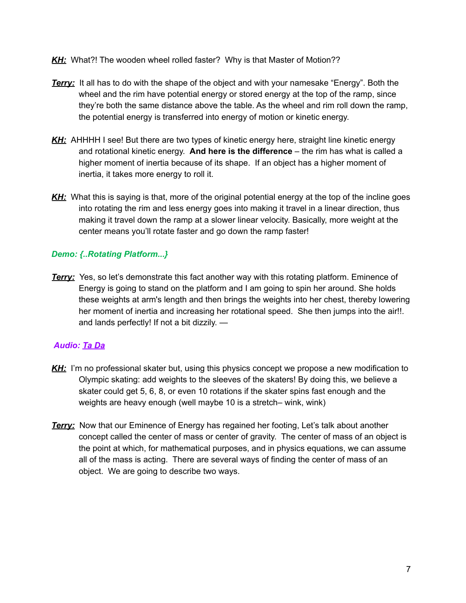- *KH:* What?! The wooden wheel rolled faster? Why is that Master of Motion??
- *Terry:* It all has to do with the shape of the object and with your namesake "Energy". Both the wheel and the rim have potential energy or stored energy at the top of the ramp, since they're both the same distance above the table. As the wheel and rim roll down the ramp, the potential energy is transferred into energy of motion or kinetic energy.
- *KH:* AHHHH I see! But there are two types of kinetic energy here, straight line kinetic energy and rotational kinetic energy. **And here is the difference** – the rim has what is called a higher moment of inertia because of its shape. If an object has a higher moment of inertia, it takes more energy to roll it.
- **KH:** What this is saying is that, more of the original potential energy at the top of the incline goes into rotating the rim and less energy goes into making it travel in a linear direction, thus making it travel down the ramp at a slower linear velocity. Basically, more weight at the center means you'll rotate faster and go down the ramp faster!

#### *Demo: {..Rotating Platform...}*

**Terry:** Yes, so let's demonstrate this fact another way with this rotating platform. Eminence of Energy is going to stand on the platform and I am going to spin her around. She holds these weights at arm's length and then brings the weights into her chest, thereby lowering her moment of inertia and increasing her rotational speed. She then jumps into the air!!. and lands perfectly! If not a bit dizzily. —

#### *Audio: Ta Da*

- KH: I'm no professional skater but, using this physics concept we propose a new modification to Olympic skating: add weights to the sleeves of the skaters! By doing this, we believe a skater could get 5, 6, 8, or even 10 rotations if the skater spins fast enough and the weights are heavy enough (well maybe 10 is a stretch– wink, wink)
- *Terry:* Now that our Eminence of Energy has regained her footing, Let's talk about another concept called the center of mass or center of gravity. The center of mass of an object is the point at which, for mathematical purposes, and in physics equations, we can assume all of the mass is acting. There are several ways of finding the center of mass of an object. We are going to describe two ways.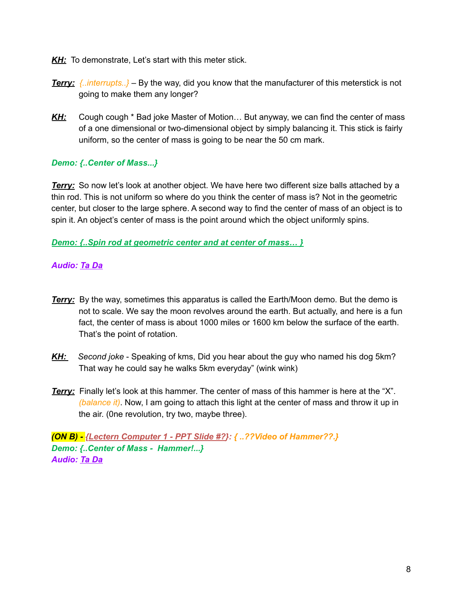- *KH:* To demonstrate, Let's start with this meter stick.
- *Terry: {..interrupts..}* By the way, did you know that the manufacturer of this meterstick is not going to make them any longer?
- KH: Cough cough \* Bad joke Master of Motion... But anyway, we can find the center of mass of a one dimensional or two-dimensional object by simply balancing it. This stick is fairly uniform, so the center of mass is going to be near the 50 cm mark.

#### *Demo: {..Center of Mass...}*

**Terry:** So now let's look at another object. We have here two different size balls attached by a thin rod. This is not uniform so where do you think the center of mass is? Not in the geometric center, but closer to the large sphere. A second way to find the center of mass of an object is to spin it. An object's center of mass is the point around which the object uniformly spins.

#### *Demo: {..Spin rod at geometric center and at center of mass… }*

#### *Audio: Ta Da*

- *Terry:* By the way, sometimes this apparatus is called the Earth/Moon demo. But the demo is not to scale. We say the moon revolves around the earth. But actually, and here is a fun fact, the center of mass is about 1000 miles or 1600 km below the surface of the earth. That's the point of rotation.
- *KH: Second joke* Speaking of kms, Did you hear about the guy who named his dog 5km? That way he could say he walks 5km everyday" (wink wink)
- *Terry:* Finally let's look at this hammer. The center of mass of this hammer is here at the "X". *(balance it)*. Now, I am going to attach this light at the center of mass and throw it up in the air. (0ne revolution, try two, maybe three).

*(ON B) - {Lectern Computer 1 - PPT Slide #?}: { ..??Video of Hammer??.} Demo: {..Center of Mass - Hammer!...} Audio: Ta Da*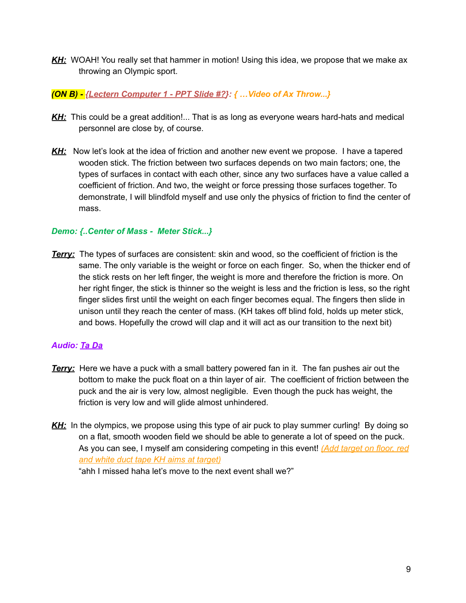*KH:* WOAH! You really set that hammer in motion! Using this idea, we propose that we make ax throwing an Olympic sport.

#### *(ON B) - {Lectern Computer 1 - PPT Slide #?}: { …Video of Ax Throw...}*

- KH: This could be a great addition!... That is as long as everyone wears hard-hats and medical personnel are close by, of course.
- *KH:* Now let's look at the idea of friction and another new event we propose. I have a tapered wooden stick. The friction between two surfaces depends on two main factors; one, the types of surfaces in contact with each other, since any two surfaces have a value called a coefficient of friction. And two, the weight or force pressing those surfaces together. To demonstrate, I will blindfold myself and use only the physics of friction to find the center of mass.

#### *Demo: {..Center of Mass - Meter Stick...}*

*Terry:* The types of surfaces are consistent: skin and wood, so the coefficient of friction is the same. The only variable is the weight or force on each finger. So, when the thicker end of the stick rests on her left finger, the weight is more and therefore the friction is more. On her right finger, the stick is thinner so the weight is less and the friction is less, so the right finger slides first until the weight on each finger becomes equal. The fingers then slide in unison until they reach the center of mass. (KH takes off blind fold, holds up meter stick, and bows. Hopefully the crowd will clap and it will act as our transition to the next bit)

#### *Audio: Ta Da*

- **Terry:** Here we have a puck with a small battery powered fan in it. The fan pushes air out the bottom to make the puck float on a thin layer of air. The coefficient of friction between the puck and the air is very low, almost negligible. Even though the puck has weight, the friction is very low and will glide almost unhindered.
- *KH:* In the olympics, we propose using this type of air puck to play summer curling! By doing so on a flat, smooth wooden field we should be able to generate a lot of speed on the puck. As you can see, I myself am considering competing in this event! *(Add target on floor, red and white duct tape KH aims at target)*

"ahh I missed haha let's move to the next event shall we?"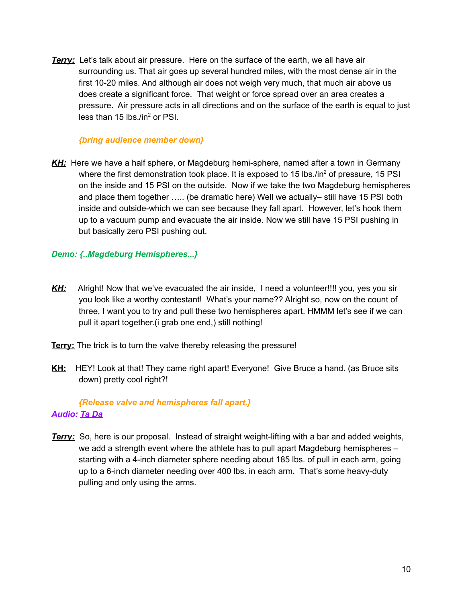*Terry:* Let's talk about air pressure. Here on the surface of the earth, we all have air surrounding us. That air goes up several hundred miles, with the most dense air in the first 10-20 miles. And although air does not weigh very much, that much air above us does create a significant force. That weight or force spread over an area creates a pressure. Air pressure acts in all directions and on the surface of the earth is equal to just less than 15 lbs./in<sup>2</sup> or PSI.

#### *{bring audience member down}*

*KH:* Here we have a half sphere, or Magdeburg hemi-sphere, named after a town in Germany where the first demonstration took place. It is exposed to 15 lbs./in<sup>2</sup> of pressure, 15 PSI on the inside and 15 PSI on the outside. Now if we take the two Magdeburg hemispheres and place them together ….. (be dramatic here) Well we actually– still have 15 PSI both inside and outside-which we can see because they fall apart. However, let's hook them up to a vacuum pump and evacuate the air inside. Now we still have 15 PSI pushing in but basically zero PSI pushing out.

#### *Demo: {..Magdeburg Hemispheres...}*

- KH: Alright! Now that we've evacuated the air inside, I need a volunteer!!!! you, yes you sir you look like a worthy contestant! What's your name?? Alright so, now on the count of three, I want you to try and pull these two hemispheres apart. HMMM let's see if we can pull it apart together.(i grab one end,) still nothing!
- **Terry:** The trick is to turn the valve thereby releasing the pressure!
- **KH:** HEY! Look at that! They came right apart! Everyone! Give Bruce a hand. (as Bruce sits down) pretty cool right?!

#### *{Release valve and hemispheres fall apart.} Audio: Ta Da*

*Terry:* So, here is our proposal. Instead of straight weight-lifting with a bar and added weights, we add a strength event where the athlete has to pull apart Magdeburg hemispheres – starting with a 4-inch diameter sphere needing about 185 lbs. of pull in each arm, going up to a 6-inch diameter needing over 400 lbs. in each arm. That's some heavy-duty pulling and only using the arms.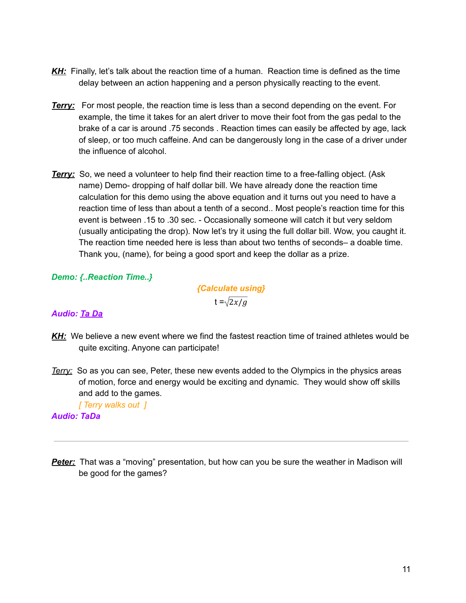- KH: Finally, let's talk about the reaction time of a human. Reaction time is defined as the time delay between an action happening and a person physically reacting to the event.
- *Terry:* For most people, the reaction time is less than a second depending on the event. For example, the time it takes for an alert driver to move their foot from the gas pedal to the brake of a car is around .75 seconds . Reaction times can easily be affected by age, lack of sleep, or too much caffeine. And can be dangerously long in the case of a driver under the influence of alcohol.
- **Terry:** So, we need a volunteer to help find their reaction time to a free-falling object. (Ask name) Demo- dropping of half dollar bill. We have already done the reaction time calculation for this demo using the above equation and it turns out you need to have a reaction time of less than about a tenth of a second.. Most people's reaction time for this event is between .15 to .30 sec. - Occasionally someone will catch it but very seldom (usually anticipating the drop). Now let's try it using the full dollar bill. Wow, you caught it. The reaction time needed here is less than about two tenths of seconds– a doable time. Thank you, (name), for being a good sport and keep the dollar as a prize.

#### *Demo: {..Reaction Time..}*

*{Calculate using}* t =  $\sqrt{2x/g}$ 

#### *Audio: Ta Da*

- *KH:* We believe a new event where we find the fastest reaction time of trained athletes would be quite exciting. Anyone can participate!
- *Terry:* So as you can see, Peter, these new events added to the Olympics in the physics areas of motion, force and energy would be exciting and dynamic. They would show off skills and add to the games.

*[ Terry walks out ]*

#### *Audio: TaDa*

**Peter:** That was a "moving" presentation, but how can you be sure the weather in Madison will be good for the games?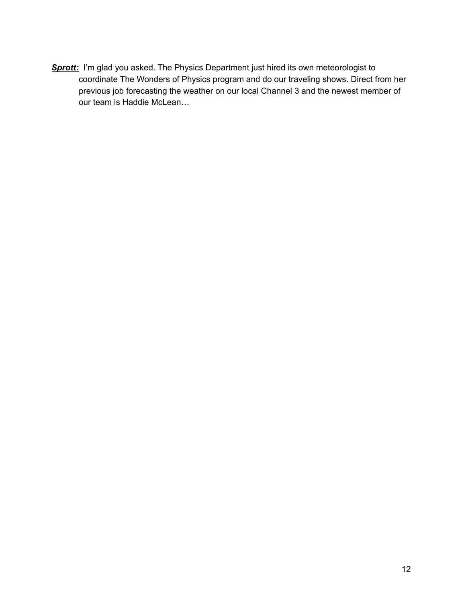**Sprott:** I'm glad you asked. The Physics Department just hired its own meteorologist to coordinate The Wonders of Physics program and do our traveling shows. Direct from her previous job forecasting the weather on our local Channel 3 and the newest member of our team is Haddie McLean…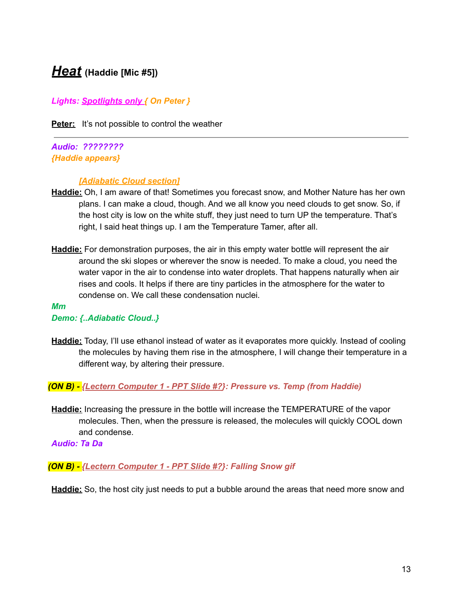### <span id="page-12-0"></span>*Heat* **(Haddie [Mic #5])**

*Lights: Spotlights only { On Peter }*

**Peter:** It's not possible to control the weather

*Audio: ???????? {Haddie appears}*

#### *[Adiabatic Cloud section]*

- **Haddie:** Oh, I am aware of that! Sometimes you forecast snow, and Mother Nature has her own plans. I can make a cloud, though. And we all know you need clouds to get snow. So, if the host city is low on the white stuff, they just need to turn UP the temperature. That's right, I said heat things up. I am the Temperature Tamer, after all.
- **Haddie:** For demonstration purposes, the air in this empty water bottle will represent the air around the ski slopes or wherever the snow is needed. To make a cloud, you need the water vapor in the air to condense into water droplets. That happens naturally when air rises and cools. It helps if there are tiny particles in the atmosphere for the water to condense on. We call these condensation nuclei.

#### *Mm Demo: {..Adiabatic Cloud..}*

**Haddie:** Today, I'll use ethanol instead of water as it evaporates more quickly. Instead of cooling the molecules by having them rise in the atmosphere, I will change their temperature in a different way, by altering their pressure.

*(ON B) - {Lectern Computer 1 - PPT Slide #?}: Pressure vs. Temp (from Haddie)*

**Haddie:** Increasing the pressure in the bottle will increase the TEMPERATURE of the vapor molecules. Then, when the pressure is released, the molecules will quickly COOL down and condense.

*Audio: Ta Da*

#### *(ON B) - {Lectern Computer 1 - PPT Slide #?}: Falling Snow gif*

**Haddie:** So, the host city just needs to put a bubble around the areas that need more snow and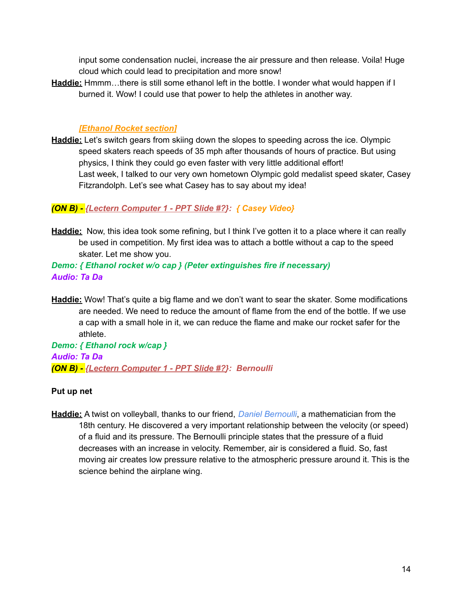input some condensation nuclei, increase the air pressure and then release. Voila! Huge cloud which could lead to precipitation and more snow!

**Haddie:** Hmmm…there is still some ethanol left in the bottle. I wonder what would happen if I burned it. Wow! I could use that power to help the athletes in another way.

#### *[Ethanol Rocket section]*

**Haddie:** Let's switch gears from skiing down the slopes to speeding across the ice. Olympic speed skaters reach speeds of 35 mph after thousands of hours of practice. But using physics, I think they could go even faster with very little additional effort! Last week, I talked to our very own hometown Olympic gold medalist speed skater, Casey Fitzrandolph. Let's see what Casey has to say about my idea!

#### *(ON B) - {Lectern Computer 1 - PPT Slide #?}: { Casey Video}*

**Haddie:** Now, this idea took some refining, but I think I've gotten it to a place where it can really be used in competition. My first idea was to attach a bottle without a cap to the speed skater. Let me show you.

#### *Demo: { Ethanol rocket w/o cap } (Peter extinguishes fire if necessary) Audio: Ta Da*

**Haddie:** Wow! That's quite a big flame and we don't want to sear the skater. Some modifications are needed. We need to reduce the amount of flame from the end of the bottle. If we use a cap with a small hole in it, we can reduce the flame and make our rocket safer for the athlete.

*Demo: { Ethanol rock w/cap } Audio: Ta Da (ON B) - {Lectern Computer 1 - PPT Slide #?}: Bernoulli*

#### **Put up net**

**Haddie:** A twist on volleyball, thanks to our friend, *Daniel Bernoulli*, a mathematician from the 18th century. He discovered a very important relationship between the velocity (or speed) of a fluid and its pressure. The Bernoulli principle states that the pressure of a fluid decreases with an increase in velocity. Remember, air is considered a fluid. So, fast moving air creates low pressure relative to the atmospheric pressure around it. This is the science behind the airplane wing.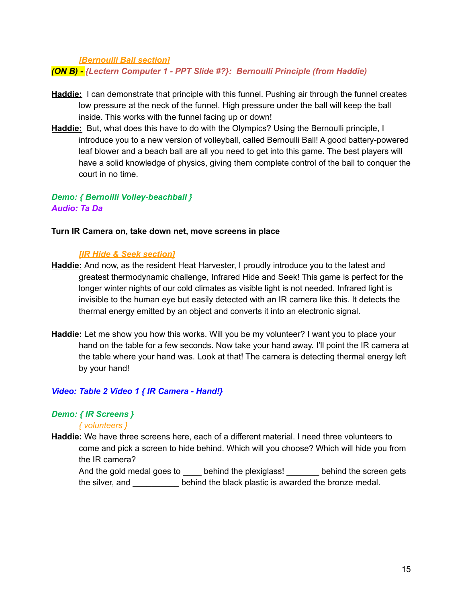*[Bernoulli Ball section]*

*(ON B) - {Lectern Computer 1 - PPT Slide #?}: Bernoulli Principle (from Haddie)*

- **Haddie:** I can demonstrate that principle with this funnel. Pushing air through the funnel creates low pressure at the neck of the funnel. High pressure under the ball will keep the ball inside. This works with the funnel facing up or down!
- **Haddie:** But, what does this have to do with the Olympics? Using the Bernoulli principle, I introduce you to a new version of volleyball, called Bernoulli Ball! A good battery-powered leaf blower and a beach ball are all you need to get into this game. The best players will have a solid knowledge of physics, giving them complete control of the ball to conquer the court in no time.

#### *Demo: { Bernoilli Volley-beachball } Audio: Ta Da*

#### **Turn IR Camera on, take down net, move screens in place**

#### *[IR Hide & Seek section]*

- **Haddie:** And now, as the resident Heat Harvester, I proudly introduce you to the latest and greatest thermodynamic challenge, Infrared Hide and Seek! This game is perfect for the longer winter nights of our cold climates as visible light is not needed. Infrared light is invisible to the human eye but easily detected with an IR camera like this. It detects the thermal energy emitted by an object and converts it into an electronic signal.
- **Haddie:** Let me show you how this works. Will you be my volunteer? I want you to place your hand on the table for a few seconds. Now take your hand away. I'll point the IR camera at the table where your hand was. Look at that! The camera is detecting thermal energy left by your hand!

#### *Video: Table 2 Video 1 { IR Camera - Hand!}*

#### *Demo: { IR Screens }*

#### *{ volunteers }*

**Haddie:** We have three screens here, each of a different material. I need three volunteers to come and pick a screen to hide behind. Which will you choose? Which will hide you from the IR camera?

And the gold medal goes to entired behind the plexiglass! Dehind the screen gets the silver, and \_\_\_\_\_\_\_\_\_\_ behind the black plastic is awarded the bronze medal.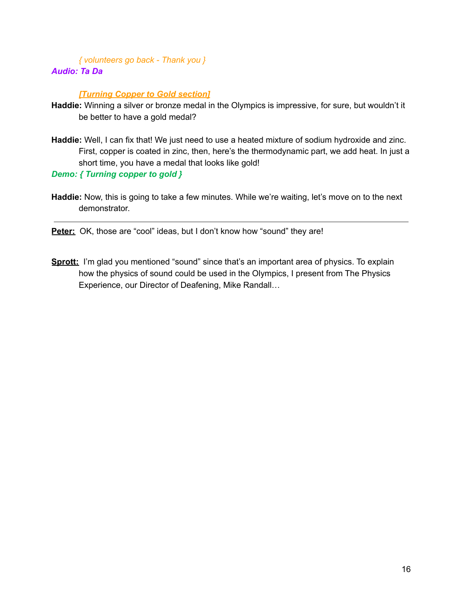#### *{ volunteers go back - Thank you } Audio: Ta Da*

#### *[Turning Copper to Gold section]*

- **Haddie:** Winning a silver or bronze medal in the Olympics is impressive, for sure, but wouldn't it be better to have a gold medal?
- Haddie: Well, I can fix that! We just need to use a heated mixture of sodium hydroxide and zinc. First, copper is coated in zinc, then, here's the thermodynamic part, we add heat. In just a short time, you have a medal that looks like gold!

*Demo: { Turning copper to gold }*

**Haddie:** Now, this is going to take a few minutes. While we're waiting, let's move on to the next demonstrator.

**Peter:** OK, those are "cool" ideas, but I don't know how "sound" they are!

**Sprott:** I'm glad you mentioned "sound" since that's an important area of physics. To explain how the physics of sound could be used in the Olympics, I present from The Physics Experience, our Director of Deafening, Mike Randall…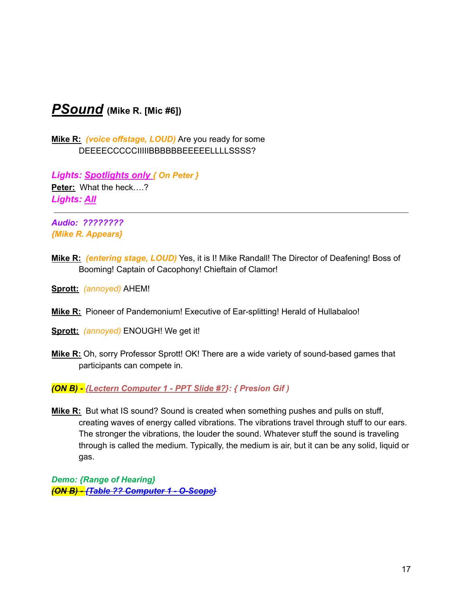## <span id="page-16-0"></span>*PSound* **(Mike R. [Mic #6])**

**Mike R:** *(voice offstage, LOUD)* Are you ready for some DEEEECCCCCIIIIIBBBBBBEEEEELLLLSSSS?

*Lights: Spotlights only { On Peter }* **Peter:** What the heck….? *Lights: All*

*Audio: ???????? {Mike R. Appears}*

- **Mike R:** *(entering stage, LOUD)* Yes, it is I! Mike Randall! The Director of Deafening! Boss of Booming! Captain of Cacophony! Chieftain of Clamor!
- **Sprott:** *(annoyed)* AHEM!
- **Mike R:** Pioneer of Pandemonium! Executive of Ear-splitting! Herald of Hullabaloo!
- **Sprott:** *(annoyed)* ENOUGH! We get it!
- **Mike R:** Oh, sorry Professor Sprott! OK! There are a wide variety of sound-based games that participants can compete in.

*(ON B) - {Lectern Computer 1 - PPT Slide #?}: { Presion Gif )*

**Mike R:** But what IS sound? Sound is created when something pushes and pulls on stuff, creating waves of energy called vibrations. The vibrations travel through stuff to our ears. The stronger the vibrations, the louder the sound. Whatever stuff the sound is traveling through is called the medium. Typically, the medium is air, but it can be any solid, liquid or gas.

*Demo: {Range of Hearing} (ON B) - {Table ?? Computer 1 - O-Scope}*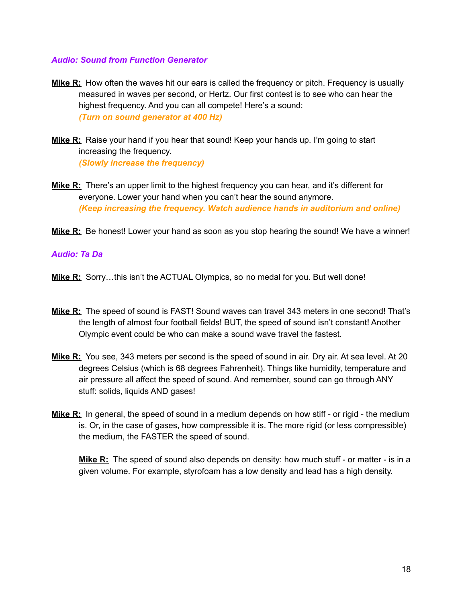#### *Audio: Sound from Function Generator*

- **Mike R:** How often the waves hit our ears is called the frequency or pitch. Frequency is usually measured in waves per second, or Hertz. Our first contest is to see who can hear the highest frequency. And you can all compete! Here's a sound: *(Turn on sound generator at 400 Hz)*
- **Mike R:** Raise your hand if you hear that sound! Keep your hands up. I'm going to start increasing the frequency. *(Slowly increase the frequency)*
- **Mike R:** There's an upper limit to the highest frequency you can hear, and it's different for everyone. Lower your hand when you can't hear the sound anymore. *(Keep increasing the frequency. Watch audience hands in auditorium and online)*
- **Mike R:** Be honest! Lower your hand as soon as you stop hearing the sound! We have a winner!

#### *Audio: Ta Da*

- **Mike R:** Sorry…this isn't the ACTUAL Olympics, so no medal for you. But well done!
- **Mike R:** The speed of sound is FAST! Sound waves can travel 343 meters in one second! That's the length of almost four football fields! BUT, the speed of sound isn't constant! Another Olympic event could be who can make a sound wave travel the fastest.
- **Mike R:** You see, 343 meters per second is the speed of sound in air. Dry air. At sea level. At 20 degrees Celsius (which is 68 degrees Fahrenheit). Things like humidity, temperature and air pressure all affect the speed of sound. And remember, sound can go through ANY stuff: solids, liquids AND gases!
- **Mike R:** In general, the speed of sound in a medium depends on how stiff or rigid the medium is. Or, in the case of gases, how compressible it is. The more rigid (or less compressible) the medium, the FASTER the speed of sound.

**Mike R:** The speed of sound also depends on density: how much stuff - or matter - is in a given volume. For example, styrofoam has a low density and lead has a high density.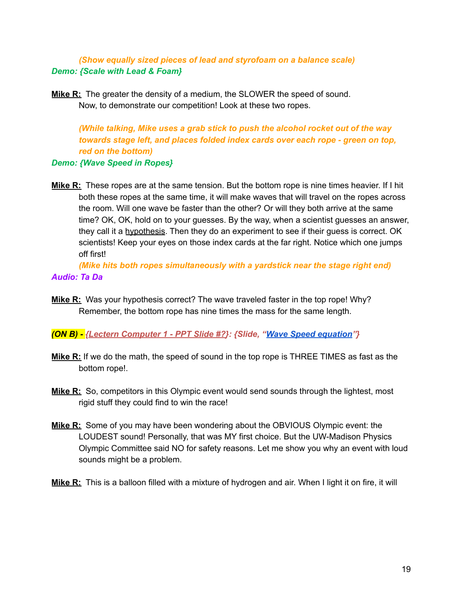*(Show equally sized pieces of lead and styrofoam on a balance scale) Demo: {Scale with Lead & Foam}*

**Mike R:** The greater the density of a medium, the SLOWER the speed of sound. Now, to demonstrate our competition! Look at these two ropes.

*(While talking, Mike uses a grab stick to push the alcohol rocket out of the way towards stage left, and places folded index cards over each rope - green on top, red on the bottom)*

#### *Demo: {Wave Speed in Ropes}*

**Mike R:** These ropes are at the same tension. But the bottom rope is nine times heavier. If I hit both these ropes at the same time, it will make waves that will travel on the ropes across the room. Will one wave be faster than the other? Or will they both arrive at the same time? OK, OK, hold on to your guesses. By the way, when a scientist guesses an answer, they call it a hypothesis. Then they do an experiment to see if their guess is correct. OK scientists! Keep your eyes on those index cards at the far right. Notice which one jumps off first!

*(Mike hits both ropes simultaneously with a yardstick near the stage right end) Audio: Ta Da*

**Mike R:** Was your hypothesis correct? The wave traveled faster in the top rope! Why? Remember, the bottom rope has nine times the mass for the same length.

*(ON B) - {Lectern Computer 1 - PPT Slide #?}: {Slide, "Wave Speed [equation](https://drive.google.com/file/d/1HRgo7uq9zR4CXj0BtPoWQCEunr6l_QQy/view?usp=sharing)"}*

- **Mike R:** If we do the math, the speed of sound in the top rope is THREE TIMES as fast as the bottom rope!.
- **Mike R:** So, competitors in this Olympic event would send sounds through the lightest, most rigid stuff they could find to win the race!
- **Mike R:** Some of you may have been wondering about the OBVIOUS Olympic event: the LOUDEST sound! Personally, that was MY first choice. But the UW-Madison Physics Olympic Committee said NO for safety reasons. Let me show you why an event with loud sounds might be a problem.
- **Mike R:** This is a balloon filled with a mixture of hydrogen and air. When I light it on fire, it will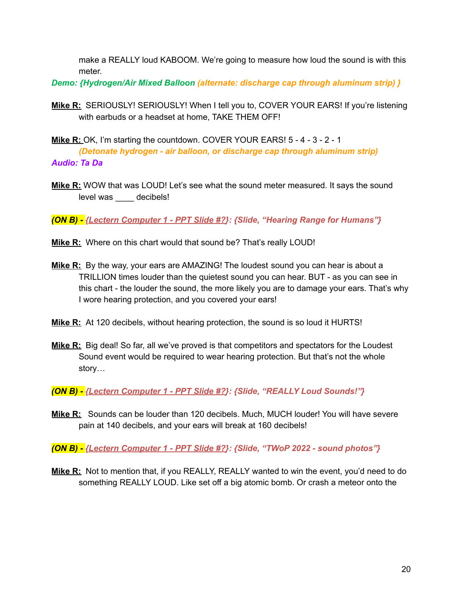make a REALLY loud KABOOM. We're going to measure how loud the sound is with this meter.

*Demo: {Hydrogen/Air Mixed Balloon (alternate: discharge cap through aluminum strip) }*

- **Mike R:** SERIOUSLY! SERIOUSLY! When I tell you to, COVER YOUR EARS! If you're listening with earbuds or a headset at home, TAKE THEM OFF!
- **Mike R:** OK, I'm starting the countdown. COVER YOUR EARS! 5 4 3 2 1 *(Detonate hydrogen - air balloon, or discharge cap through aluminum strip) Audio: Ta Da*
- **Mike R:** WOW that was LOUD! Let's see what the sound meter measured. It says the sound level was \_\_\_\_ decibels!

*(ON B) - {Lectern Computer 1 - PPT Slide #?}: {Slide, "Hearing Range for Humans"}*

- **Mike R:** Where on this chart would that sound be? That's really LOUD!
- **Mike R:** By the way, your ears are AMAZING! The loudest sound you can hear is about a TRILLION times louder than the quietest sound you can hear. BUT - as you can see in this chart - the louder the sound, the more likely you are to damage your ears. That's why I wore hearing protection, and you covered your ears!
- **Mike R:** At 120 decibels, without hearing protection, the sound is so loud it HURTS!
- **Mike R:** Big deal! So far, all we've proved is that competitors and spectators for the Loudest Sound event would be required to wear hearing protection. But that's not the whole story…

*(ON B) - {Lectern Computer 1 - PPT Slide #?}: {Slide, "REALLY Loud Sounds!"}*

**Mike R:** Sounds can be louder than 120 decibels. Much, MUCH louder! You will have severe pain at 140 decibels, and your ears will break at 160 decibels!

*(ON B) - {Lectern Computer 1 - PPT Slide #?}: {Slide, "TWoP 2022 - sound photos"}*

**Mike R:** Not to mention that, if you REALLY, REALLY wanted to win the event, you'd need to do something REALLY LOUD. Like set off a big atomic bomb. Or crash a meteor onto the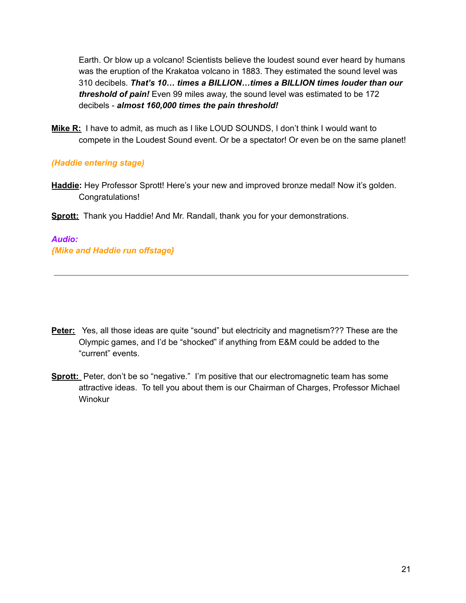Earth. Or blow up a volcano! Scientists believe the loudest sound ever heard by humans was the eruption of the Krakatoa volcano in 1883. They estimated the sound level was 310 decibels. *That's 10… times a BILLION…times a BILLION times louder than our threshold of pain!* Even 99 miles away, the sound level was estimated to be 172 decibels - *almost 160,000 times the pain threshold!*

**Mike R:** I have to admit, as much as I like LOUD SOUNDS, I don't think I would want to compete in the Loudest Sound event. Or be a spectator! Or even be on the same planet!

#### *(Haddie entering stage)*

- **Haddie:** Hey Professor Sprott! Here's your new and improved bronze medal! Now it's golden. Congratulations!
- **Sprott:** Thank you Haddie! And Mr. Randall, thank you for your demonstrations.

*Audio: {Mike and Haddie run offstage}*

- **Peter:** Yes, all those ideas are quite "sound" but electricity and magnetism??? These are the Olympic games, and I'd be "shocked" if anything from E&M could be added to the "current" events.
- **Sprott:** Peter, don't be so "negative." I'm positive that our electromagnetic team has some attractive ideas. To tell you about them is our Chairman of Charges, Professor Michael Winokur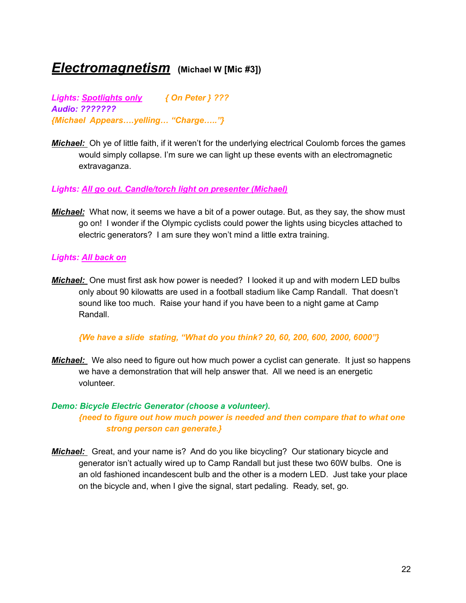### *Electromagnetism* **(Michael <sup>W</sup> [Mic #3])**

*Lights: Spotlights only { On Peter } ??? Audio: ??????? {Michael Appears….yelling… "Charge….."}*

*Michael:* Oh ye of little faith, if it weren't for the underlying electrical Coulomb forces the games would simply collapse. I'm sure we can light up these events with an electromagnetic extravaganza.

#### *Lights: All go out. Candle/torch light on presenter (Michael)*

*Michael:* What now, it seems we have a bit of a power outage. But, as they say, the show must go on! I wonder if the Olympic cyclists could power the lights using bicycles attached to electric generators? I am sure they won't mind a little extra training.

#### *Lights: All back on*

*Michael:* One must first ask how power is needed? I looked it up and with modern LED bulbs only about 90 kilowatts are used in a football stadium like Camp Randall. That doesn't sound like too much. Raise your hand if you have been to a night game at Camp Randall.

#### *{We have a slide stating, "What do you think? 20, 60, 200, 600, 2000, 6000"}*

**Michael:** We also need to figure out how much power a cyclist can generate. It just so happens we have a demonstration that will help answer that. All we need is an energetic volunteer.

#### *Demo: Bicycle Electric Generator (choose a volunteer). {need to figure out how much power is needed and then compare that to what one strong person can generate.}*

*Michael:* Great, and your name is? And do you like bicycling? Our stationary bicycle and generator isn't actually wired up to Camp Randall but just these two 60W bulbs. One is an old fashioned incandescent bulb and the other is a modern LED. Just take your place on the bicycle and, when I give the signal, start pedaling. Ready, set, go.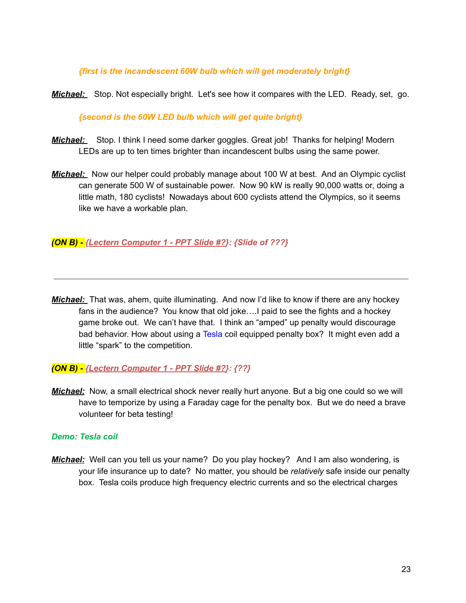#### *{first is the incandescent 60W bulb which will get moderately bright}*

*Michael:* Stop. Not especially bright. Let's see how it compares with the LED. Ready, set, go.

#### *{second is the 60W LED bulb which will get quite bright}*

- *Michael:* Stop. I think I need some darker goggles. Great job! Thanks for helping! Modern LEDs are up to ten times brighter than incandescent bulbs using the same power.
- *Michael:* Now our helper could probably manage about 100 W at best. And an Olympic cyclist can generate 500 W of sustainable power. Now 90 kW is really 90,000 watts or, doing a little math, 180 cyclists! Nowadays about 600 cyclists attend the Olympics, so it seems like we have a workable plan.

#### *(ON B) - {Lectern Computer 1 - PPT Slide #?}: {Slide of ???}*

*Michael:* That was, ahem, quite illuminating. And now I'd like to know if there are any hockey fans in the audience? You know that old joke….I paid to see the fights and a hockey game broke out. We can't have that. I think an "amped" up penalty would discourage bad behavior. How about using a Tesla coil equipped penalty box? It might even add a little "spark" to the competition.

#### *(ON B) - {Lectern Computer 1 - PPT Slide #?}: {??}*

*Michael:* Now, a small electrical shock never really hurt anyone. But a big one could so we will have to temporize by using a Faraday cage for the penalty box. But we do need a brave volunteer for beta testing!

#### *Demo: Tesla coil*

*Michael:* Well can you tell us your name? Do you play hockey? And I am also wondering, is your life insurance up to date? No matter, you should be *relatively* safe inside our penalty box. Tesla coils produce high frequency electric currents and so the electrical charges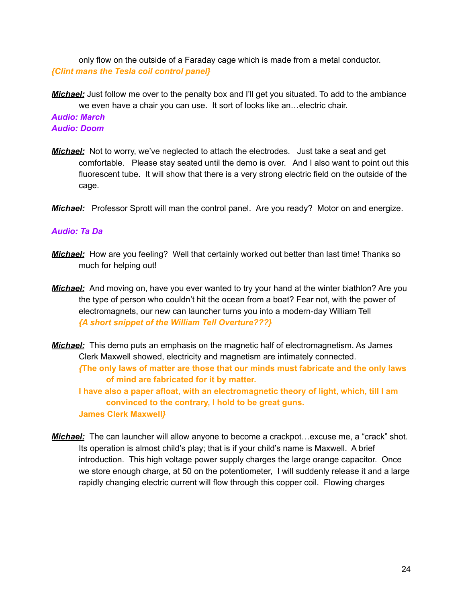only flow on the outside of a Faraday cage which is made from a metal conductor. *{Clint mans the Tesla coil control panel}*

*Michael:* Just follow me over to the penalty box and I'll get you situated. To add to the ambiance we even have a chair you can use. It sort of looks like an…electric chair. *Audio: March Audio: Doom*

- *Michael:* Not to worry, we've neglected to attach the electrodes. Just take a seat and get comfortable. Please stay seated until the demo is over. And I also want to point out this fluorescent tube. It will show that there is a very strong electric field on the outside of the cage.
- *Michael:* Professor Sprott will man the control panel. Are you ready? Motor on and energize.

#### *Audio: Ta Da*

- **Michael:** How are you feeling? Well that certainly worked out better than last time! Thanks so much for helping out!
- *Michael:* And moving on, have you ever wanted to try your hand at the winter biathlon? Are you the type of person who couldn't hit the ocean from a boat? Fear not, with the power of electromagnets, our new can launcher turns you into a modern-day William Tell *{A short snippet of the William Tell Overture???}*
- *Michael:* This demo puts an emphasis on the magnetic half of electromagnetism. As James Clerk Maxwell showed, electricity and magnetism are intimately connected.

*{***The only laws of matter are those that our minds must [fabricate](https://www.azquotes.com/quote/965381) and the only laws of mind are [fabricated](https://www.azquotes.com/quote/965381) for it by matter.**

**I have also a paper afloat, with an electromagnetic theory of light, which, till I am convinced to the contrary, I hold to be great guns. James Clerk [Maxwell](https://www.azquotes.com/author/21477-James_Clerk_Maxwell)***}*

*Michael:* The can launcher will allow anyone to become a crackpot…excuse me, a "crack" shot. Its operation is almost child's play; that is if your child's name is Maxwell. A brief introduction. This high voltage power supply charges the large orange capacitor. Once we store enough charge, at 50 on the potentiometer, I will suddenly release it and a large rapidly changing electric current will flow through this copper coil. Flowing charges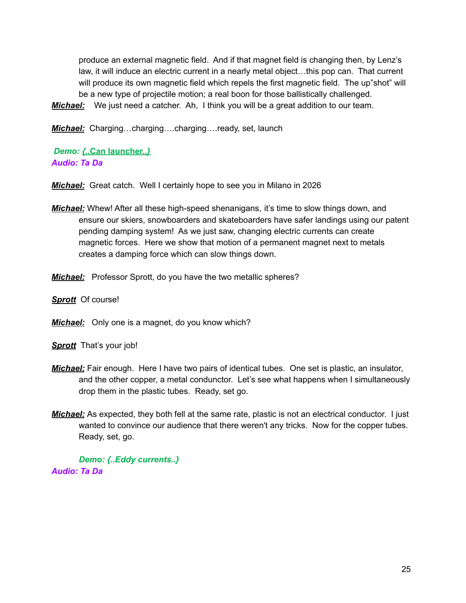produce an external magnetic field. And if that magnet field is changing then, by Lenz's law, it will induce an electric current in a nearly metal object…this pop can. That current will produce its own magnetic field which repels the first magnetic field. The up"shot" will be a new type of projectile motion; a real boon for those ballistically challenged.

*Michael:* We just need a catcher. Ah, I think you will be a great addition to our team.

*Michael:* Charging…charging….charging….ready, set, launch

*Demo: {..***Can launcher..***} Audio: Ta Da*

*Michael:* Great catch. Well I certainly hope to see you in Milano in 2026

- *Michael:* Whew! After all these high-speed shenanigans, it's time to slow things down, and ensure our skiers, snowboarders and skateboarders have safer landings using our patent pending damping system! As we just saw, changing electric currents can create magnetic forces. Here we show that motion of a permanent magnet next to metals creates a damping force which can slow things down.
- *Michael:* Professor Sprott, do you have the two metallic spheres?
- *Sprott* Of course!

*Michael:* Only one is a magnet, do you know which?

**Sprott** That's your job!

- *Michael:* Fair enough. Here I have two pairs of identical tubes. One set is plastic, an insulator, and the other copper, a metal condunctor. Let's see what happens when I simultaneously drop them in the plastic tubes. Ready, set go.
- *Michael:* As expected, they both fell at the same rate, plastic is not an electrical conductor. I just wanted to convince our audience that there weren't any tricks. Now for the copper tubes. Ready, set, go.

*Demo: {..Eddy currents..} Audio: Ta Da*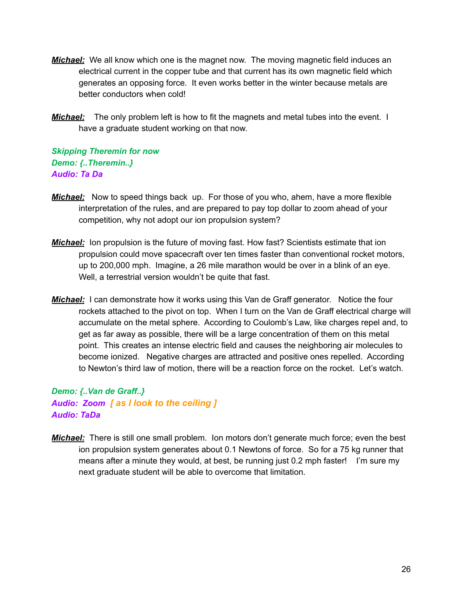- *Michael:* We all know which one is the magnet now. The moving magnetic field induces an electrical current in the copper tube and that current has its own magnetic field which generates an opposing force. It even works better in the winter because metals are better conductors when cold!
- **Michael:** The only problem left is how to fit the magnets and metal tubes into the event. I have a graduate student working on that now.

#### *Skipping Theremin for now Demo: {..Theremin..} Audio: Ta Da*

- *Michael:* Now to speed things back up. For those of you who, ahem, have a more flexible interpretation of the rules, and are prepared to pay top dollar to zoom ahead of your competition, why not adopt our ion propulsion system?
- *Michael:* Ion propulsion is the future of moving fast. How fast? Scientists estimate that ion propulsion could move spacecraft over ten times faster than conventional rocket motors, up to 200,000 mph. Imagine, a 26 mile marathon would be over in a blink of an eye. Well, a terrestrial version wouldn't be quite that fast.
- *Michael:* I can demonstrate how it works using this Van de Graff generator. Notice the four rockets attached to the pivot on top. When I turn on the Van de Graff electrical charge will accumulate on the metal sphere. According to Coulomb's Law, like charges repel and, to get as far away as possible, there will be a large concentration of them on this metal point. This creates an intense electric field and causes the neighboring air molecules to become ionized. Negative charges are attracted and positive ones repelled. According to Newton's third law of motion, there will be a reaction force on the rocket. Let's watch.

*Demo: {..Van de Graff..} Audio: Zoom [ as I look to the ceiling ] Audio: TaDa*

*Michael:* There is still one small problem. Ion motors don't generate much force; even the best ion propulsion system generates about 0.1 Newtons of force. So for a 75 kg runner that means after a minute they would, at best, be running just 0.2 mph faster! I'm sure my next graduate student will be able to overcome that limitation.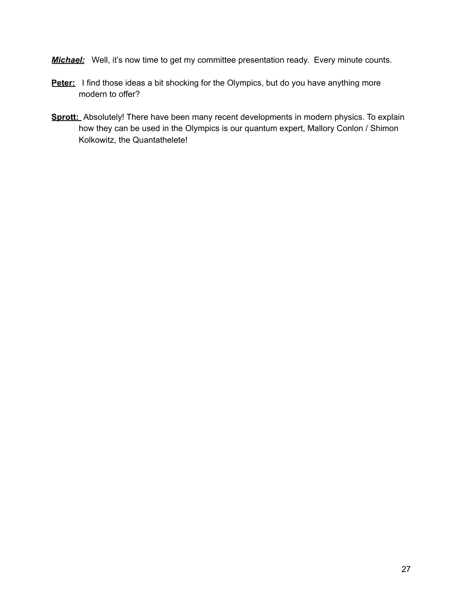- **Michael:** Well, it's now time to get my committee presentation ready. Every minute counts.
- Peter: I find those ideas a bit shocking for the Olympics, but do you have anything more modern to offer?
- **Sprott:** Absolutely! There have been many recent developments in modern physics. To explain how they can be used in the Olympics is our quantum expert, Mallory Conlon / Shimon Kolkowitz, the Quantathelete!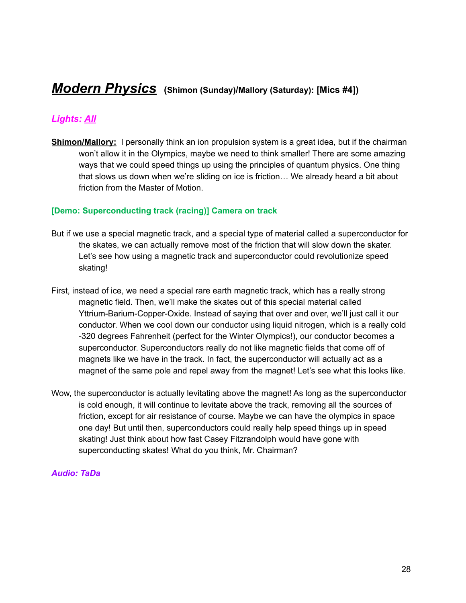## *Modern Physics* **(Shimon (Sunday)/Mallory (Saturday): [Mics #4])**

#### *Lights: All*

**Shimon/Mallory:** I personally think an ion propulsion system is a great idea, but if the chairman won't allow it in the Olympics, maybe we need to think smaller! There are some amazing ways that we could speed things up using the principles of quantum physics. One thing that slows us down when we're sliding on ice is friction… We already heard a bit about friction from the Master of Motion.

#### **[Demo: Superconducting track (racing)] Camera on track**

- But if we use a special magnetic track, and a special type of material called a superconductor for the skates, we can actually remove most of the friction that will slow down the skater. Let's see how using a magnetic track and superconductor could revolutionize speed skating!
- First, instead of ice, we need a special rare earth magnetic track, which has a really strong magnetic field. Then, we'll make the skates out of this special material called Yttrium-Barium-Copper-Oxide. Instead of saying that over and over, we'll just call it our conductor. When we cool down our conductor using liquid nitrogen, which is a really cold -320 degrees Fahrenheit (perfect for the Winter Olympics!), our conductor becomes a superconductor. Superconductors really do not like magnetic fields that come off of magnets like we have in the track. In fact, the superconductor will actually act as a magnet of the same pole and repel away from the magnet! Let's see what this looks like.
- Wow, the superconductor is actually levitating above the magnet! As long as the superconductor is cold enough, it will continue to levitate above the track, removing all the sources of friction, except for air resistance of course. Maybe we can have the olympics in space one day! But until then, superconductors could really help speed things up in speed skating! Just think about how fast Casey Fitzrandolph would have gone with superconducting skates! What do you think, Mr. Chairman?

#### *Audio: TaDa*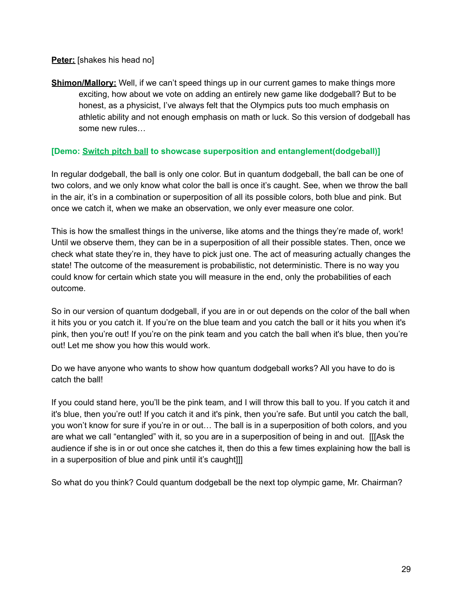**Peter:** [shakes his head no]

**Shimon/Mallory:** Well, if we can't speed things up in our current games to make things more exciting, how about we vote on adding an entirely new game like dodgeball? But to be honest, as a physicist, I've always felt that the Olympics puts too much emphasis on athletic ability and not enough emphasis on math or luck. So this version of dodgeball has some new rules…

#### **[Demo: [Switch](https://www.amazon.com/Hoberman-Switch-Ball-1-Colors-Styles/dp/B003KCG9IM/ref=asc_df_B003KCG9IM/?tag=hyprod-20&linkCode=df0&hvadid=312149920204&hvpos=&hvnetw=g&hvrand=12212725606945316029&hvpone=&hvptwo=&hvqmt=&hvdev=c&hvdvcmdl=&hvlocint=&hvlocphy=9018948&hvtargid=pla-569676524389&psc=1) pitch ball to showcase superposition and entanglement(dodgeball)]**

In regular dodgeball, the ball is only one color. But in quantum dodgeball, the ball can be one of two colors, and we only know what color the ball is once it's caught. See, when we throw the ball in the air, it's in a combination or superposition of all its possible colors, both blue and pink. But once we catch it, when we make an observation, we only ever measure one color.

This is how the smallest things in the universe, like atoms and the things they're made of, work! Until we observe them, they can be in a superposition of all their possible states. Then, once we check what state they're in, they have to pick just one. The act of measuring actually changes the state! The outcome of the measurement is probabilistic, not deterministic. There is no way you could know for certain which state you will measure in the end, only the probabilities of each outcome.

So in our version of quantum dodgeball, if you are in or out depends on the color of the ball when it hits you or you catch it. If you're on the blue team and you catch the ball or it hits you when it's pink, then you're out! If you're on the pink team and you catch the ball when it's blue, then you're out! Let me show you how this would work.

Do we have anyone who wants to show how quantum dodgeball works? All you have to do is catch the ball!

If you could stand here, you'll be the pink team, and I will throw this ball to you. If you catch it and it's blue, then you're out! If you catch it and it's pink, then you're safe. But until you catch the ball, you won't know for sure if you're in or out… The ball is in a superposition of both colors, and you are what we call "entangled" with it, so you are in a superposition of being in and out. [[[Ask the audience if she is in or out once she catches it, then do this a few times explaining how the ball is in a superposition of blue and pink until it's caught]]]

So what do you think? Could quantum dodgeball be the next top olympic game, Mr. Chairman?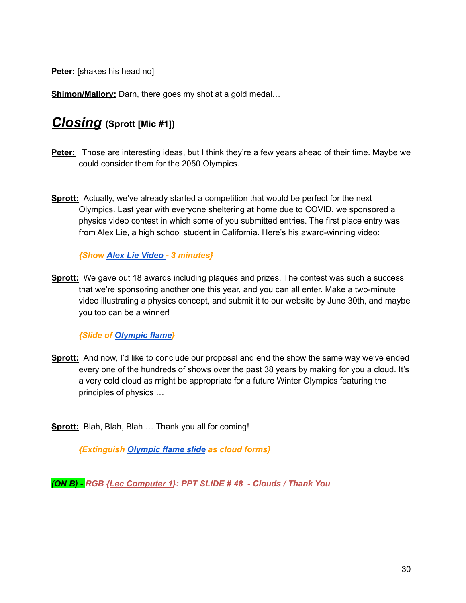**Peter:** [shakes his head no]

**Shimon/Mallory:** Darn, there goes my shot at a gold medal...

### *Closing* **(Sprott [Mic #1])**

- **Peter:** Those are interesting ideas, but I think they're a few years ahead of their time. Maybe we could consider them for the 2050 Olympics.
- **Sprott:** Actually, we've already started a competition that would be perfect for the next Olympics. Last year with everyone sheltering at home due to COVID, we sponsored a physics video contest in which some of you submitted entries. The first place entry was from Alex Lie, a high school student in California. Here's his award-winning video:

*{Show Alex Lie [Video](https://drive.google.com/file/d/1iiiQA-Vtm1VGDMhrPlhN66PRHxgffUoK/view) - 3 minutes}*

**Sprott:** We gave out 18 awards including plaques and prizes. The contest was such a success that we're sponsoring another one this year, and you can all enter. Make a two-minute video illustrating a physics concept, and submit it to our website by June 30th, and maybe you too can be a winner!

*{Slide of [Olympic](http://sprott.physics.wisc.edu/wop/Movies/24523_Abstract_flame_backgrounds_HD_BG.mp4) flame}*

**Sprott:** And now, I'd like to conclude our proposal and end the show the same way we've ended every one of the hundreds of shows over the past 38 years by making for you a cloud. It's a very cold cloud as might be appropriate for a future Winter Olympics featuring the principles of physics …

**Sprott:** Blah, Blah, Blah … Thank you all for coming!

*{Extinguish [Olympic](http://sprott.physics.wisc.edu/wop/Movies/24523_Abstract_flame_backgrounds_HD_BG.mp4) flame slide as cloud forms}*

*(ON B) - RGB {Lec Computer 1}: PPT SLIDE # 48 - Clouds / Thank You*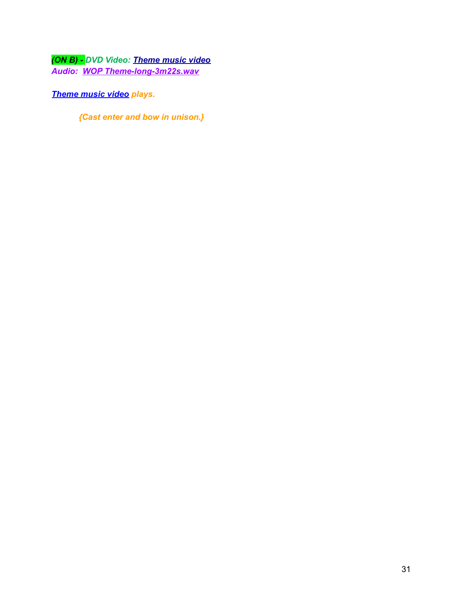*(ON B) - DVD Video: [Theme](http://sprott.physics.wisc.edu/videos/wopcapcty.mpg) music video Audio: WOP [Theme-long-3m22s.wav](http://sprott.physics.wisc.edu/wop/sounds/ThemeLong-3m22s.wav)*

*[Theme](http://sprott.physics.wisc.edu/videos/wopcapcty.mpg) music video plays.*

*{Cast enter and bow in unison.}*